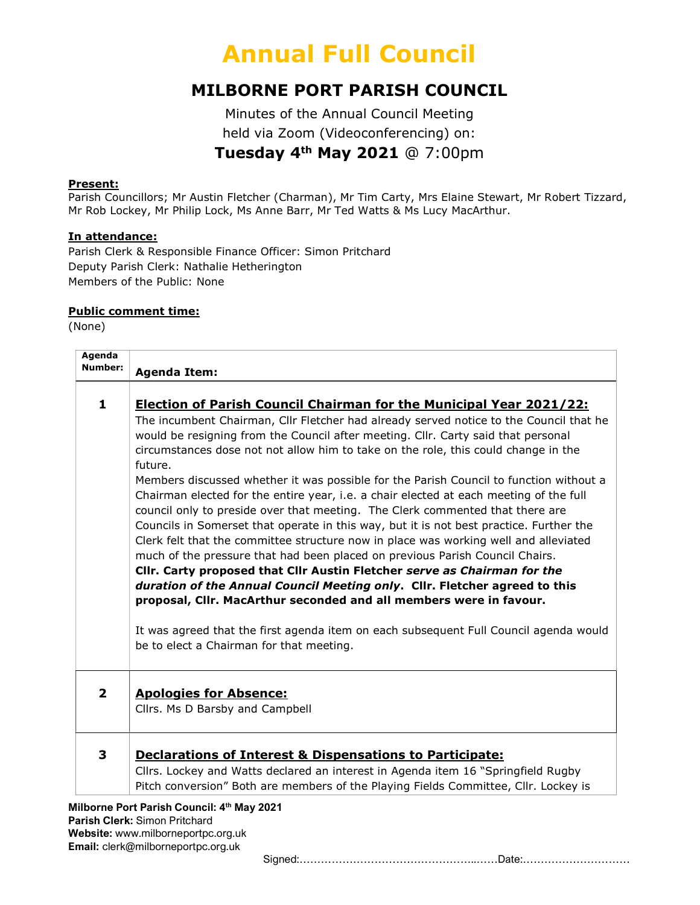#### MILBORNE PORT PARISH COUNCIL

Minutes of the Annual Council Meeting held via Zoom (Videoconferencing) on: Tuesday 4th May 2021 @ 7:00pm

#### Present:

Parish Councillors; Mr Austin Fletcher (Charman), Mr Tim Carty, Mrs Elaine Stewart, Mr Robert Tizzard, Mr Rob Lockey, Mr Philip Lock, Ms Anne Barr, Mr Ted Watts & Ms Lucy MacArthur.

#### In attendance:

Parish Clerk & Responsible Finance Officer: Simon Pritchard Deputy Parish Clerk: Nathalie Hetherington Members of the Public: None

#### Public comment time:

(None)

| <b>Agenda</b><br>Number: | <b>Agenda Item:</b>                                                                                                                                                                                                                                                                                                                                                                                                                                                                                                                                                                                                                                                                                                                                                                                                                                                                                                                                                                                                                                                                                                                                                                                                                                                     |
|--------------------------|-------------------------------------------------------------------------------------------------------------------------------------------------------------------------------------------------------------------------------------------------------------------------------------------------------------------------------------------------------------------------------------------------------------------------------------------------------------------------------------------------------------------------------------------------------------------------------------------------------------------------------------------------------------------------------------------------------------------------------------------------------------------------------------------------------------------------------------------------------------------------------------------------------------------------------------------------------------------------------------------------------------------------------------------------------------------------------------------------------------------------------------------------------------------------------------------------------------------------------------------------------------------------|
| $\mathbf{1}$             | <b>Election of Parish Council Chairman for the Municipal Year 2021/22:</b><br>The incumbent Chairman, Cllr Fletcher had already served notice to the Council that he<br>would be resigning from the Council after meeting. Cllr. Carty said that personal<br>circumstances dose not not allow him to take on the role, this could change in the<br>future.<br>Members discussed whether it was possible for the Parish Council to function without a<br>Chairman elected for the entire year, i.e. a chair elected at each meeting of the full<br>council only to preside over that meeting. The Clerk commented that there are<br>Councils in Somerset that operate in this way, but it is not best practice. Further the<br>Clerk felt that the committee structure now in place was working well and alleviated<br>much of the pressure that had been placed on previous Parish Council Chairs.<br>Cllr. Carty proposed that Cllr Austin Fletcher serve as Chairman for the<br>duration of the Annual Council Meeting only. Cllr. Fletcher agreed to this<br>proposal, Cllr. MacArthur seconded and all members were in favour.<br>It was agreed that the first agenda item on each subsequent Full Council agenda would<br>be to elect a Chairman for that meeting. |
| $\overline{2}$           | <b>Apologies for Absence:</b><br>Cllrs. Ms D Barsby and Campbell                                                                                                                                                                                                                                                                                                                                                                                                                                                                                                                                                                                                                                                                                                                                                                                                                                                                                                                                                                                                                                                                                                                                                                                                        |
| 3                        | Declarations of Interest & Dispensations to Participate:<br>Cllrs. Lockey and Watts declared an interest in Agenda item 16 "Springfield Rugby<br>Pitch conversion" Both are members of the Playing Fields Committee, Cllr. Lockey is<br>Milborne Port Parish Council: 4th May 2021                                                                                                                                                                                                                                                                                                                                                                                                                                                                                                                                                                                                                                                                                                                                                                                                                                                                                                                                                                                      |

Parish Clerk: Simon Pritchard Website: www.milborneportpc.org.uk Email: clerk@milborneportpc.org.uk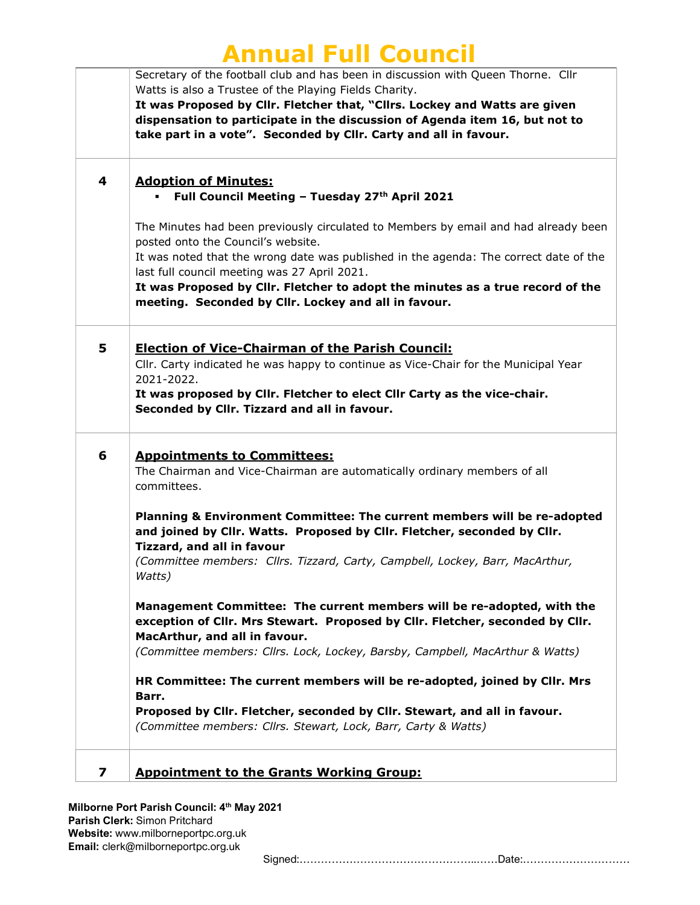|   | Secretary of the football club and has been in discussion with Queen Thorne. Cllr     |
|---|---------------------------------------------------------------------------------------|
|   | Watts is also a Trustee of the Playing Fields Charity.                                |
|   | It was Proposed by Cllr. Fletcher that, "Cllrs. Lockey and Watts are given            |
|   | dispensation to participate in the discussion of Agenda item 16, but not to           |
|   | take part in a vote". Seconded by Cllr. Carty and all in favour.                      |
|   |                                                                                       |
|   |                                                                                       |
| 4 | <b>Adoption of Minutes:</b>                                                           |
|   | Full Council Meeting - Tuesday 27th April 2021                                        |
|   | The Minutes had been previously circulated to Members by email and had already been   |
|   | posted onto the Council's website.                                                    |
|   | It was noted that the wrong date was published in the agenda: The correct date of the |
|   | last full council meeting was 27 April 2021.                                          |
|   | It was Proposed by Cllr. Fletcher to adopt the minutes as a true record of the        |
|   | meeting. Seconded by Cllr. Lockey and all in favour.                                  |
|   |                                                                                       |
|   |                                                                                       |
| 5 | <b>Election of Vice-Chairman of the Parish Council:</b>                               |
|   | Cllr. Carty indicated he was happy to continue as Vice-Chair for the Municipal Year   |
|   | 2021-2022.                                                                            |
|   | It was proposed by Cllr. Fletcher to elect Cllr Carty as the vice-chair.              |
|   | Seconded by Cllr. Tizzard and all in favour.                                          |
|   |                                                                                       |
|   |                                                                                       |
| 6 | <b>Appointments to Committees:</b>                                                    |
|   | The Chairman and Vice-Chairman are automatically ordinary members of all              |
|   | committees.                                                                           |
|   | Planning & Environment Committee: The current members will be re-adopted              |
|   | and joined by Cllr. Watts. Proposed by Cllr. Fletcher, seconded by Cllr.              |
|   | <b>Tizzard, and all in favour</b>                                                     |
|   | (Committee members: Cllrs. Tizzard, Carty, Campbell, Lockey, Barr, MacArthur,         |
|   | Watts)                                                                                |
|   |                                                                                       |
|   | Management Committee: The current members will be re-adopted, with the                |
|   | exception of Cllr. Mrs Stewart. Proposed by Cllr. Fletcher, seconded by Cllr.         |
|   | MacArthur, and all in favour.                                                         |
|   | (Committee members: Cllrs. Lock, Lockey, Barsby, Campbell, MacArthur & Watts)         |
|   |                                                                                       |
|   | HR Committee: The current members will be re-adopted, joined by Cllr. Mrs             |
|   | Barr.                                                                                 |
|   | Proposed by Cllr. Fletcher, seconded by Cllr. Stewart, and all in favour.             |
|   | (Committee members: Cllrs. Stewart, Lock, Barr, Carty & Watts)                        |
|   |                                                                                       |
|   |                                                                                       |
| 7 | <b>Appointment to the Grants Working Group:</b>                                       |

Milborne Port Parish Council: 4<sup>th</sup> May 2021 Parish Clerk: Simon Pritchard Website: www.milborneportpc.org.uk Email: clerk@milborneportpc.org.uk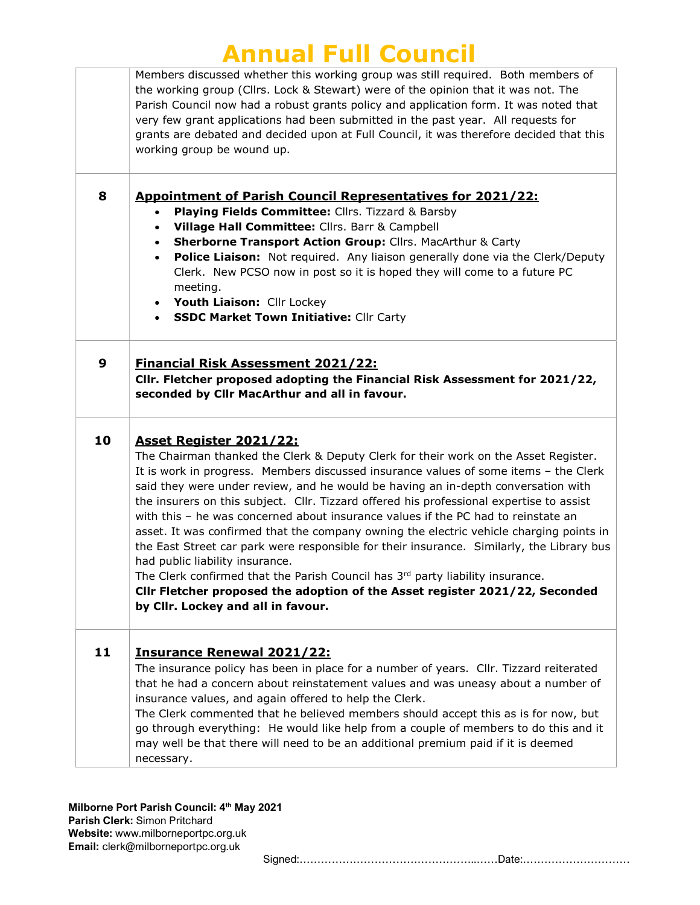| Members discussed whether this working group was still required. Both members of<br>the working group (Cllrs. Lock & Stewart) were of the opinion that it was not. The<br>Parish Council now had a robust grants policy and application form. It was noted that<br>very few grant applications had been submitted in the past year. All requests for<br>grants are debated and decided upon at Full Council, it was therefore decided that this<br>working group be wound up.<br><b>Appointment of Parish Council Representatives for 2021/22:</b><br>Playing Fields Committee: Cllrs. Tizzard & Barsby<br>Village Hall Committee: Cllrs. Barr & Campbell<br>Sherborne Transport Action Group: Cllrs. MacArthur & Carty<br>٠<br>Police Liaison: Not required. Any liaison generally done via the Clerk/Deputy<br>Clerk. New PCSO now in post so it is hoped they will come to a future PC<br>meeting.<br>Youth Liaison: Cllr Lockey<br><b>SSDC Market Town Initiative: Cllr Carty</b> |
|---------------------------------------------------------------------------------------------------------------------------------------------------------------------------------------------------------------------------------------------------------------------------------------------------------------------------------------------------------------------------------------------------------------------------------------------------------------------------------------------------------------------------------------------------------------------------------------------------------------------------------------------------------------------------------------------------------------------------------------------------------------------------------------------------------------------------------------------------------------------------------------------------------------------------------------------------------------------------------------|
| <b>Financial Risk Assessment 2021/22:</b><br>CIIr. Fletcher proposed adopting the Financial Risk Assessment for 2021/22,<br>seconded by Cllr MacArthur and all in favour.                                                                                                                                                                                                                                                                                                                                                                                                                                                                                                                                                                                                                                                                                                                                                                                                             |
| <b>Asset Register 2021/22:</b><br>The Chairman thanked the Clerk & Deputy Clerk for their work on the Asset Register.<br>It is work in progress. Members discussed insurance values of some items - the Clerk<br>said they were under review, and he would be having an in-depth conversation with<br>the insurers on this subject. Cllr. Tizzard offered his professional expertise to assist<br>with this - he was concerned about insurance values if the PC had to reinstate an<br>asset. It was confirmed that the company owning the electric vehicle charging points in<br>the East Street car park were responsible for their insurance. Similarly, the Library bus<br>had public liability insurance.<br>The Clerk confirmed that the Parish Council has 3rd party liability insurance.<br>Cllr Fletcher proposed the adoption of the Asset register 2021/22, Seconded<br>by Cllr. Lockey and all in favour.                                                                 |
| <b>Insurance Renewal 2021/22:</b><br>The insurance policy has been in place for a number of years. Cllr. Tizzard reiterated<br>that he had a concern about reinstatement values and was uneasy about a number of<br>insurance values, and again offered to help the Clerk.<br>The Clerk commented that he believed members should accept this as is for now, but<br>go through everything: He would like help from a couple of members to do this and it<br>may well be that there will need to be an additional premium paid if it is deemed<br>necessary.                                                                                                                                                                                                                                                                                                                                                                                                                           |
|                                                                                                                                                                                                                                                                                                                                                                                                                                                                                                                                                                                                                                                                                                                                                                                                                                                                                                                                                                                       |

Milborne Port Parish Council: 4th May 2021 Parish Clerk: Simon Pritchard Website: www.milborneportpc.org.uk Email: clerk@milborneportpc.org.uk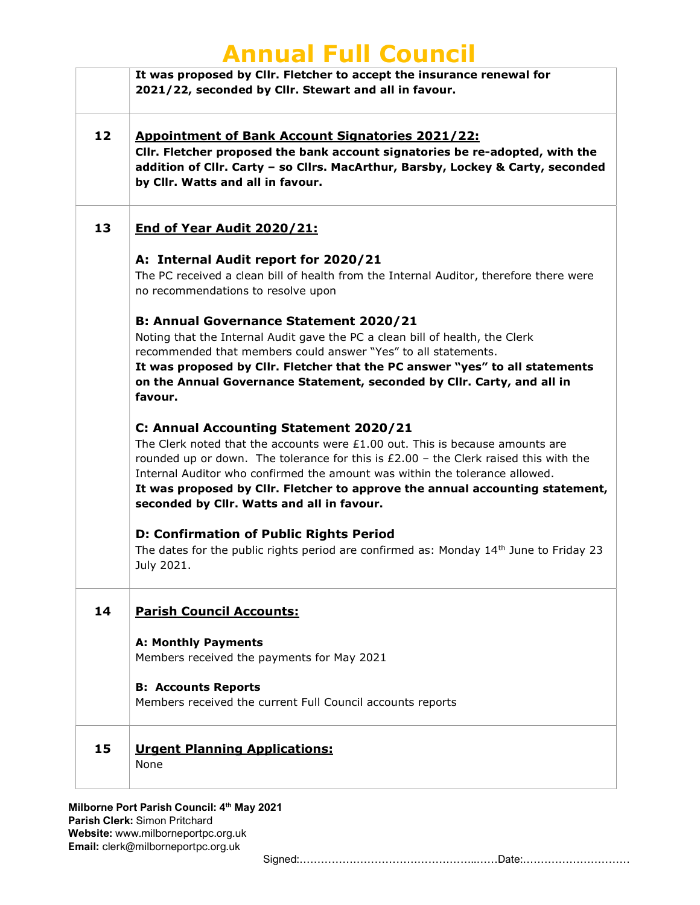|    | AMINGH I GH COGHCH                                                                                                                                                                                                                                                                                                                                                                                                                |
|----|-----------------------------------------------------------------------------------------------------------------------------------------------------------------------------------------------------------------------------------------------------------------------------------------------------------------------------------------------------------------------------------------------------------------------------------|
|    | It was proposed by Cllr. Fletcher to accept the insurance renewal for<br>2021/22, seconded by Cllr. Stewart and all in favour.                                                                                                                                                                                                                                                                                                    |
| 12 | <b>Appointment of Bank Account Signatories 2021/22:</b><br>CIIr. Fletcher proposed the bank account signatories be re-adopted, with the<br>addition of Cllr. Carty - so Cllrs. MacArthur, Barsby, Lockey & Carty, seconded<br>by Cllr. Watts and all in favour.                                                                                                                                                                   |
| 13 | End of Year Audit 2020/21:                                                                                                                                                                                                                                                                                                                                                                                                        |
|    | A: Internal Audit report for 2020/21<br>The PC received a clean bill of health from the Internal Auditor, therefore there were<br>no recommendations to resolve upon                                                                                                                                                                                                                                                              |
|    | <b>B: Annual Governance Statement 2020/21</b><br>Noting that the Internal Audit gave the PC a clean bill of health, the Clerk<br>recommended that members could answer "Yes" to all statements.<br>It was proposed by Clir. Fletcher that the PC answer "yes" to all statements<br>on the Annual Governance Statement, seconded by Cllr. Carty, and all in<br>favour.                                                             |
|    | C: Annual Accounting Statement 2020/21<br>The Clerk noted that the accounts were $£1.00$ out. This is because amounts are<br>rounded up or down. The tolerance for this is $£2.00 -$ the Clerk raised this with the<br>Internal Auditor who confirmed the amount was within the tolerance allowed.<br>It was proposed by Cllr. Fletcher to approve the annual accounting statement,<br>seconded by Cllr. Watts and all in favour. |
|    | <b>D: Confirmation of Public Rights Period</b><br>The dates for the public rights period are confirmed as: Monday $14th$ June to Friday 23<br>July 2021.                                                                                                                                                                                                                                                                          |
| 14 | <b>Parish Council Accounts:</b>                                                                                                                                                                                                                                                                                                                                                                                                   |
|    | <b>A: Monthly Payments</b><br>Members received the payments for May 2021                                                                                                                                                                                                                                                                                                                                                          |
|    | <b>B: Accounts Reports</b><br>Members received the current Full Council accounts reports                                                                                                                                                                                                                                                                                                                                          |
| 15 | <b>Urgent Planning Applications:</b><br>None                                                                                                                                                                                                                                                                                                                                                                                      |
|    |                                                                                                                                                                                                                                                                                                                                                                                                                                   |

Milborne Port Parish Council: 4th May 2021 Parish Clerk: Simon Pritchard Website: www.milborneportpc.org.uk Email: clerk@milborneportpc.org.uk